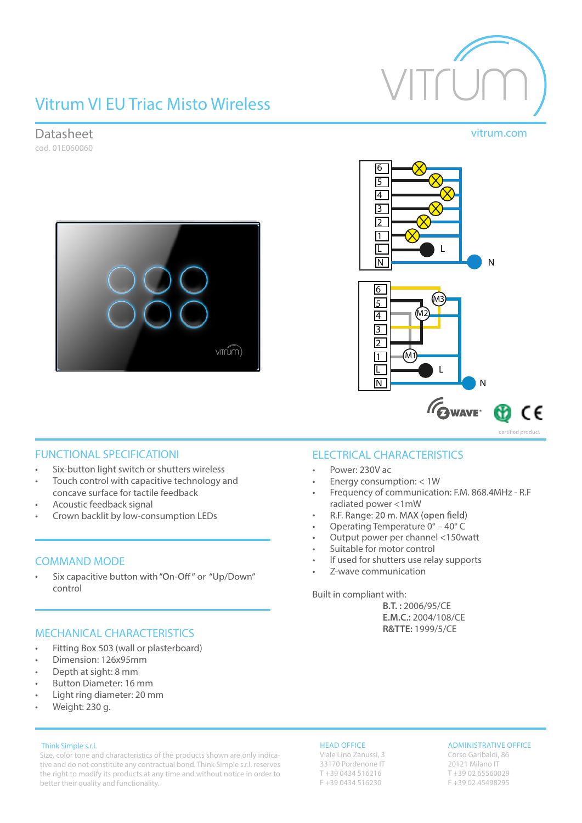# Vitrum VI EU Triac Misto Wireless









### FUNCTIONAL SPECIFICATIONI

- Six-button light switch or shutters wireless
- Touch control with capacitive technology and concave surface for tactile feedback
- Acoustic feedback signal
- Crown backlit by low-consumption LEDs

### COMMAND MODE

Six capacitive button with "On-Off" or "Up/Down" • control

### MECHANICAL CHARACTERISTICS

- Fitting Box 503 (wall or plasterboard)
- Dimension: 126x95mm
- Depth at sight: 8 mm
- Button Diameter: 16 mm
- Light ring diameter: 20 mm
- Weight: 230 g.

### Think Simple s.r.l.

Size, color tone and characteristics of the products shown are only indicative and do not constitute any contractual bond. Think Simple s.r.l. reserves the right to modify its products at any time and without notice in order to better their quality and functionality.

### ELECTRICAL CHARACTERISTICS

- Power: 230V ac
- Energy consumption: < 1W
- Frequency of communication: F.M. 868.4MHz R.F radiated power <1mW
- R.F. Range: 20 m. MAX (open field) •
- Operating Temperature 0° 40° C
- Output power per channel <150watt
- Suitable for motor control
- If used for shutters use relay supports
- Z-wave communication

Built in compliant with:

**B.T. :** 2006/95/CE **E.M.C.:** 2004/108/CE **R&TTE:** 1999/5/CE

### HEAD OFFICE

Viale Lino Zanussi, 3 33170 Pordenone IT T +39 0434 516216 F +39 0434 516230

### ADMINISTRATIVE OFFICE

Corso Garibaldi, 86 20121 Milano IT T +39 02 65560029 F +39 02 45498295